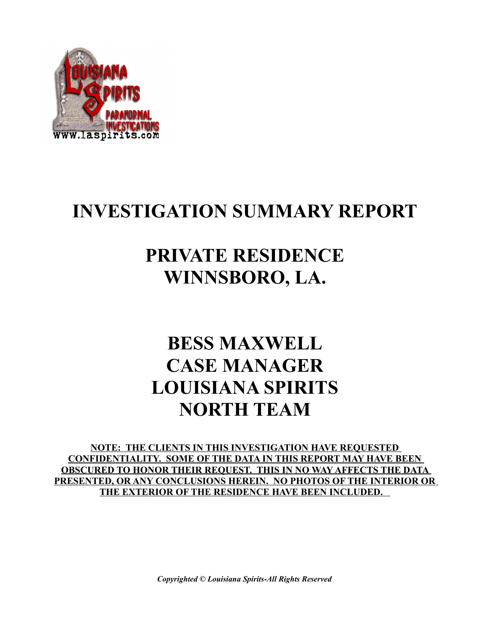

### **INVESTIGATION SUMMARY REPORT**

### **PRIVATE RESIDENCE WINNSBORO, LA.**

### **BESS MAXWELL CASE MANAGER LOUISIANA SPIRITS NORTH TEAM**

**NOTE: THE CLIENTS IN THIS INVESTIGATION HAVE REQUESTED CONFIDENTIALITY. SOME OF THE DATA IN THIS REPORT MAY HAVE BEEN OBSCURED TO HONOR THEIR REQUEST. THIS IN NO WAY AFFECTS THE DATA PRESENTED, OR ANY CONCLUSIONS HEREIN. NO PHOTOS OF THE INTERIOR OR THE EXTERIOR OF THE RESIDENCE HAVE BEEN INCLUDED.** 

*Copyrighted © Louisiana Spirits-All Rights Reserved*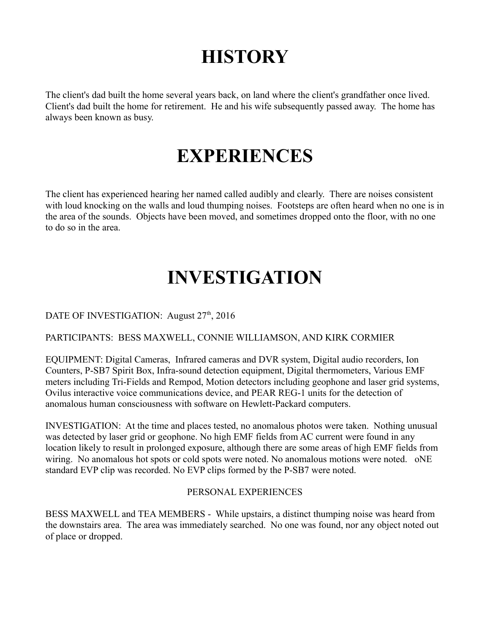# **HISTORY**

The client's dad built the home several years back, on land where the client's grandfather once lived. Client's dad built the home for retirement. He and his wife subsequently passed away. The home has always been known as busy.

### **EXPERIENCES**

The client has experienced hearing her named called audibly and clearly. There are noises consistent with loud knocking on the walls and loud thumping noises. Footsteps are often heard when no one is in the area of the sounds. Objects have been moved, and sometimes dropped onto the floor, with no one to do so in the area.

# **INVESTIGATION**

DATE OF INVESTIGATION: August 27<sup>th</sup>, 2016

#### PARTICIPANTS: BESS MAXWELL, CONNIE WILLIAMSON, AND KIRK CORMIER

EQUIPMENT: Digital Cameras, Infrared cameras and DVR system, Digital audio recorders, Ion Counters, P-SB7 Spirit Box, Infra-sound detection equipment, Digital thermometers, Various EMF meters including Tri-Fields and Rempod, Motion detectors including geophone and laser grid systems, Ovilus interactive voice communications device, and PEAR REG-1 units for the detection of anomalous human consciousness with software on Hewlett-Packard computers.

INVESTIGATION: At the time and places tested, no anomalous photos were taken. Nothing unusual was detected by laser grid or geophone. No high EMF fields from AC current were found in any location likely to result in prolonged exposure, although there are some areas of high EMF fields from wiring. No anomalous hot spots or cold spots were noted. No anomalous motions were noted.  $oNE$ standard EVP clip was recorded. No EVP clips formed by the P-SB7 were noted.

#### PERSONAL EXPERIENCES

BESS MAXWELL and TEA MEMBERS - While upstairs, a distinct thumping noise was heard from the downstairs area. The area was immediately searched. No one was found, nor any object noted out of place or dropped.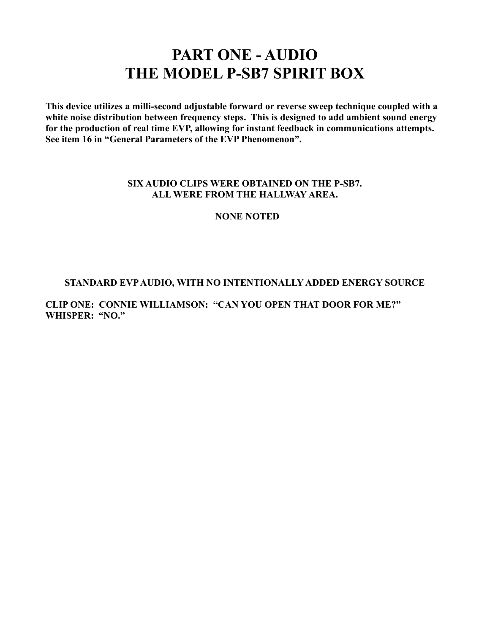### **PART ONE - AUDIO THE MODEL P-SB7 SPIRIT BOX**

**This device utilizes a milli-second adjustable forward or reverse sweep technique coupled with a white noise distribution between frequency steps. This is designed to add ambient sound energy for the production of real time EVP, allowing for instant feedback in communications attempts. See item 16 in "General Parameters of the EVP Phenomenon".** 

#### **SIX AUDIO CLIPS WERE OBTAINED ON THE P-SB7. ALL WERE FROM THE HALLWAY AREA.**

#### **NONE NOTED**

#### **STANDARD EVP AUDIO, WITH NO INTENTIONALLY ADDED ENERGY SOURCE**

#### **CLIP ONE: CONNIE WILLIAMSON: "CAN YOU OPEN THAT DOOR FOR ME?" WHISPER: "NO."**